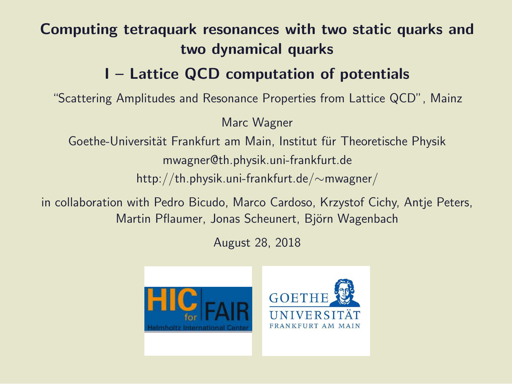#### Computing tetraquark resonances with two static quarks and two dynamical quarks

#### I – Lattice QCD computation of potentials

"Scattering Amplitudes and Resonance Properties from Lattice QCD", Mainz

Marc Wagner

Goethe-Universität Frankfurt am Main, Institut für Theoretische Physik

mwagner@th.physik.uni-frankfurt.de

http://th.physik.uni-frankfurt.de/∼mwagner/

in collaboration with Pedro Bicudo, Marco Cardoso, Krzystof Cichy, Antje Peters, Martin Pflaumer, Jonas Scheunert, Björn Wagenbach

August 28, 2018

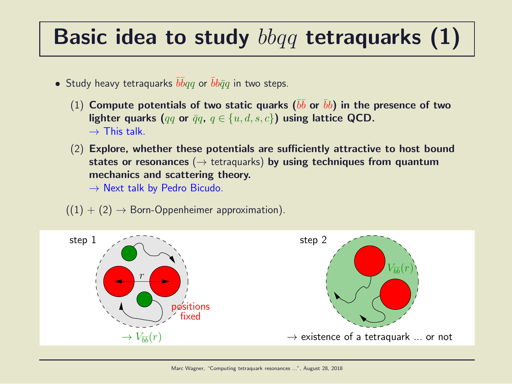### Basic idea to study  $bbqq$  tetraquarks  $(1)$

- Study heavy tetraquarks  $\overline{b} \overline{b} q q$  or  $\overline{b} b \overline{q} q$  in two steps.
	- $(1)$  Compute potentials of two static quarks  $(\bar{b}\bar{b}$  or  $\bar{b}b)$  in the presence of two lighter quarks (qq or  $\bar{q}q$ ,  $q \in \{u, d, s, c\}$ ) using lattice QCD.  $\rightarrow$  This talk.
	- (2) Explore, whether these potentials are sufficiently attractive to host bound states or resonances ( $\rightarrow$  tetraquarks) by using techniques from quantum mechanics and scattering theory.

 $\rightarrow$  Next talk by Pedro Bicudo.

 $((1) + (2) \rightarrow$  Born-Oppenheimer approximation).

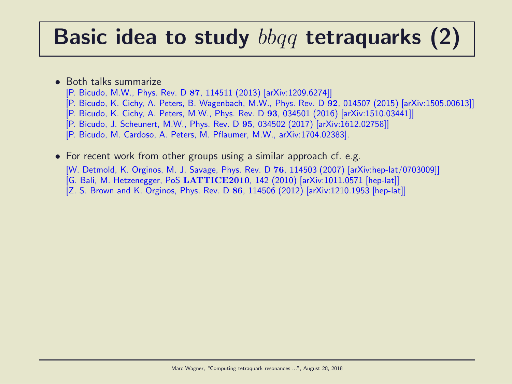### Basic idea to study  $bbqq$  tetraquarks (2)

#### • Both talks summarize

- [P. Bicudo, M.W., Phys. Rev. D 87, 114511 (2013) [arXiv:1209.6274]]
- [P. Bicudo, K. Cichy, A. Peters, B. Wagenbach, M.W., Phys. Rev. D 92, 014507 (2015) [arXiv:1505.00613]]
- [P. Bicudo, K. Cichy, A. Peters, M.W., Phys. Rev. D 93, 034501 (2016) [arXiv:1510.03441]]
- [P. Bicudo, J. Scheunert, M.W., Phys. Rev. D 95, 034502 (2017) [arXiv:1612.02758]]
- [P. Bicudo, M. Cardoso, A. Peters, M. Pflaumer, M.W., arXiv:1704.02383].
- For recent work from other groups using a similar approach cf. e.g. [W. Detmold, K. Orginos, M. J. Savage, Phys. Rev. D 76, 114503 (2007) [arXiv:hep-lat/0703009]] [G. Bali, M. Hetzenegger, PoS LATTICE2010, 142 (2010) [arXiv:1011.0571 [hep-lat]] [Z. S. Brown and K. Orginos, Phys. Rev. D 86, 114506 (2012) [arXiv:1210.1953 [hep-lat]]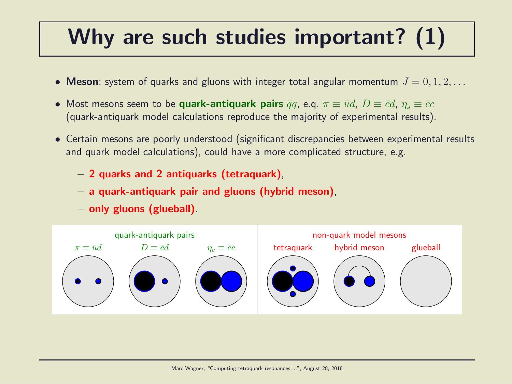### Why are such studies important? (1)

- Meson: system of quarks and gluons with integer total angular momentum  $J = 0, 1, 2, \ldots$
- Most mesons seem to be quark-antiquark pairs  $\bar{q}q$ , e.q.  $\pi \equiv \bar{u}d$ ,  $D \equiv \bar{c}d$ ,  $\eta_s \equiv \bar{c}c$ (quark-antiquark model calculations reproduce the majority of experimental results).
- Certain mesons are poorly understood (significant discrepancies between experimental results and quark model calculations), could have a more complicated structure, e.g.
	- 2 quarks and 2 antiquarks (tetraquark),
	- a quark-antiquark pair and gluons (hybrid meson),
	- only gluons (glueball).

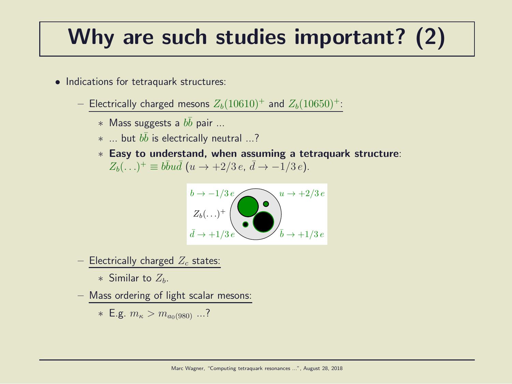### Why are such studies important? (2)

- Indications for tetraquark structures:
	- Electrically charged mesons  $Z_b(10610)^+$  and  $Z_b(10650)^+$ :
		- $*$  Mass suggests a  $b\bar{b}$  pair ...
		- $*$  ... but  $b\bar{b}$  is electrically neutral ...?
		- ∗ Easy to understand, when assuming a tetraquark structure:  $Z_b(\ldots)^+ \equiv b\bar{b}u\bar{d}$   $(u \to +2/3 e, \, \bar{d} \to -1/3 e).$



– Electrically charged  $Z_c$  states:

∗ Similar to  $Z_h$ .

– Mass ordering of light scalar mesons:

\* E.g. 
$$
m_{\kappa} > m_{a_0(980)}
$$
 ...?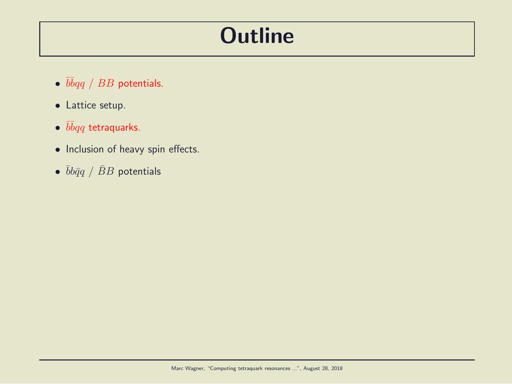#### **Outline**

- $\overline{b} \overline{b} q \overline{q}$  /  $BB$  potentials.
- Lattice setup.
- $\bullet$   $\bar b\bar b qq$  tetraquarks.
- Inclusion of heavy spin effects.
- $\bullet$   $\bar{b}b\bar{q}q$  /  $\bar{B}B$  potentials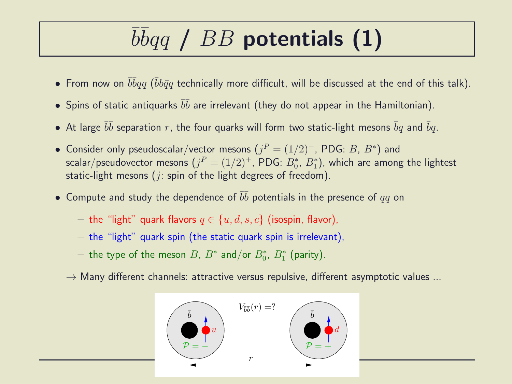# $\overline{b} \overline{b} q \overline{q}$  /  $BB$  potentials (1)

- $\bullet$  From now on  $\bar b\bar b qq$  ( $\bar b b\bar q q$  technically more difficult, will be discussed at the end of this talk).
- $\bullet$  Spins of static antiquarks  $\bar b \bar b$  are irrelevant (they do not appear in the Hamiltonian).
- $\bullet$  At large  $\bar{b}\bar{b}$  separation  $r$ , the four quarks will form two static-light mesons  $\bar{b}q$  and  $\bar{b}q$ .
- Consider only pseudoscalar/vector mesons  $(j^P = (1/2)^-, \text{PDG: } B, B^*)$  and scalar/pseudovector mesons  $(j^P = (1/2)^+,$  PDG:  $B^{\ast}_0$ ,  $B^{\ast}_1$ ), which are among the lightest static-light mesons ( $i$ : spin of the light degrees of freedom).
- $\bullet$  Compute and study the dependence of  $\bar{b}\bar{b}$  potentials in the presence of  $qq$  on
	- the "light" quark flavors  $q \in \{u, d, s, c\}$  (isospin, flavor),
	- $-$  the "light" quark spin (the static quark spin is irrelevant),
	- $-$  the type of the meson  $B$ ,  $B^*$  and/or  $B^*_0$ ,  $B^*_1$  (parity).
	- $\rightarrow$  Many different channels: attractive versus repulsive, different asymptotic values ...

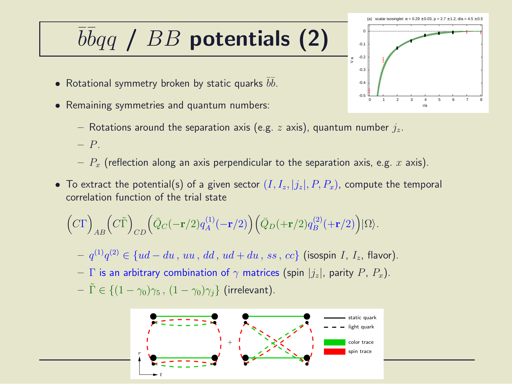### $\overline{b} \overline{b} q \overline{q}$  /  $BB$  potentials (2)

- Rotational symmetry broken by static quarks  $\bar b \bar b.$
- Remaining symmetries and quantum numbers:
	- Rotations around the separation axis (e.g. z axis), quantum number  $j_z$ .
	- P.
	- $-P_x$  (reflection along an axis perpendicular to the separation axis, e.g. x axis).
- To extract the potential(s) of a given sector  $(I, I_z, |j_z|, P, P_x)$ , compute the temporal correlation function of the trial state

$$
\Big(C\Gamma\Big)_{AB}\Big(C\tilde{\Gamma}\Big)_{CD}\Big(\bar{Q}_C(-{\mathbf r}/2)q_A^{(1)}(-{\mathbf r}/2)\Big)\Big(\bar{Q}_D(+{\mathbf r}/2)q_B^{(2)}(+{\mathbf r}/2)\Big)|\Omega\rangle.
$$

- $− q^{(1)}q^{(2)} ∈ {ud du , uu, dd, ud + du, ss, cc}$  (isospin *I*, *I*<sub>z</sub>, flavor).
- Γ is an arbitrary combination of  $\gamma$  matrices (spin  $|j_z|$ , parity P,  $P_x$ ).
- $-\tilde{\Gamma} \in \{(1-\gamma_0)\gamma_5, (1-\gamma_0)\gamma_i\}$  (irrelevant).



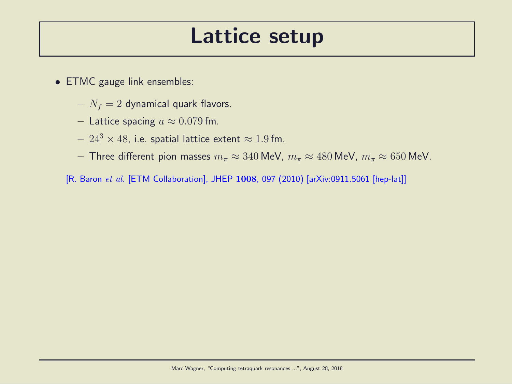#### Lattice setup

- ETMC gauge link ensembles:
	- $N_f = 2$  dynamical quark flavors.
	- Lattice spacing  $a \approx 0.079$  fm.
	- $24^3 \times 48$ , i.e. spatial lattice extent  $\approx 1.9$  fm.
	- Three different pion masses  $m_{\pi} \approx 340$  MeV,  $m_{\pi} \approx 480$  MeV,  $m_{\pi} \approx 650$  MeV.
	- [R. Baron et al. [ETM Collaboration], JHEP 1008, 097 (2010) [arXiv:0911.5061 [hep-lat]]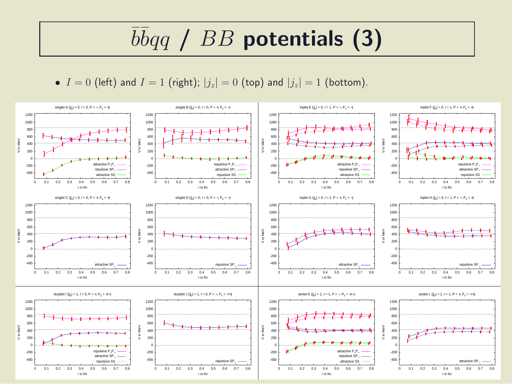## $\overline{b} \overline{b} q \overline{q}$  /  $BB$  potentials (3)

•  $I = 0$  (left) and  $I = 1$  (right);  $|j_z| = 0$  (top) and  $|j_z| = 1$  (bottom).

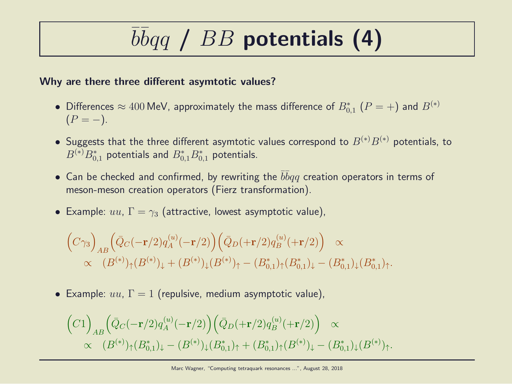# $\overline{b} \overline{b} q \overline{q}$  /  $BB$  potentials (4)

#### Why are there three different asymtotic values?

- Differences  $\approx 400$  MeV, approximately the mass difference of  $B_{0,1}^*$   $(P = +)$  and  $B^{(*)}$  $(P = -).$
- Suggests that the three different asymtotic values correspond to  $B^{(*)}B^{(*)}$  potentials, to  $B^{(\ast)}B_{0,1}^\ast$  potentials and  $B_{0,1}^\ast B_{0,1}^\ast$  potentials.
- Can be checked and confirmed, by rewriting the  $\bar{b} \bar{b} q q$  creation operators in terms of meson-meson creation operators (Fierz transformation).
- Example:  $uu, \Gamma = \gamma_3$  (attractive, lowest asymptotic value),

$$
\begin{aligned}\n\left(C\gamma_3\right)_{AB} &\left(\bar{Q}_C(-\mathbf{r}/2)q_A^{(u)}(-\mathbf{r}/2)\right)\left(\bar{Q}_D(+\mathbf{r}/2)q_B^{(u)}(+\mathbf{r}/2)\right) \propto \\
&\propto (B^{(*)})_{\uparrow}(B^{(*)})_{\downarrow} + (B^{(*)})_{\downarrow}(B^{(*)})_{\uparrow} - (B^*_{0,1})_{\uparrow}(B^*_{0,1})_{\downarrow} - (B^*_{0,1})_{\downarrow}(B^*_{0,1})_{\uparrow}.\n\end{aligned}
$$

• Example:  $uu, \Gamma = 1$  (repulsive, medium asymptotic value),

$$
\begin{aligned}\n\left(C1\right)_{AB} \left(\bar{Q}_C(-\mathbf{r}/2) q_A^{(u)}(-\mathbf{r}/2)\right) \left(\bar{Q}_D(+\mathbf{r}/2) q_B^{(u)}(+\mathbf{r}/2)\right) &\propto \\
&\propto \quad (B^{(*)})_{\uparrow} (B^*_{0,1})_{\downarrow} - (B^{(*)})_{\downarrow} (B^*_{0,1})_{\uparrow} + (B^*_{0,1})_{\uparrow} (B^{(*)})_{\downarrow} - (B^*_{0,1})_{\downarrow} (B^{(*)})_{\uparrow}.\n\end{aligned}
$$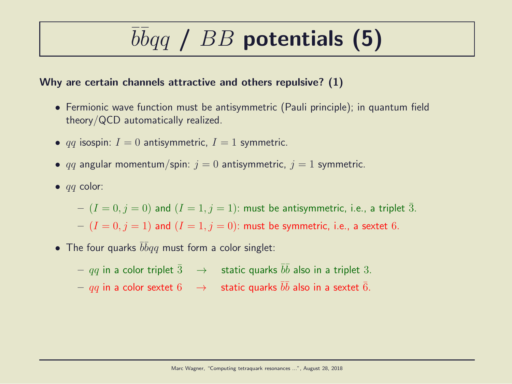## $\overline{b} \overline{b} q \overline{q}$  /  $BB$  potentials (5)

#### Why are certain channels attractive and others repulsive? (1)

- Fermionic wave function must be antisymmetric (Pauli principle); in quantum field theory/QCD automatically realized.
- qq isospin:  $I = 0$  antisymmetric,  $I = 1$  symmetric.
- qq angular momentum/spin:  $j = 0$  antisymmetric,  $j = 1$  symmetric.
- $\bullet$  *qq* color:

 $-(I = 0, j = 0)$  and  $(I = 1, j = 1)$ : must be antisymmetric, i.e., a triplet  $\overline{3}$ .  $-(I = 0, j = 1)$  and  $(I = 1, j = 0)$ : must be symmetric, i.e., a sextet 6.

• The four quarks  $\bar{b}\bar{b}qq$  must form a color singlet:

 $qq$  in a color triplet  $\bar{3}$   $\;\;\rightarrow$   $\;$  static quarks  $\bar{b}\bar{b}$  also in a triplet  $3.$  $qq$  in a color sextet  $6$   $\;\;\rightarrow$   $\;$  static quarks  $\bar{b}\bar{b}$  also in a sextet  $\bar{6}.$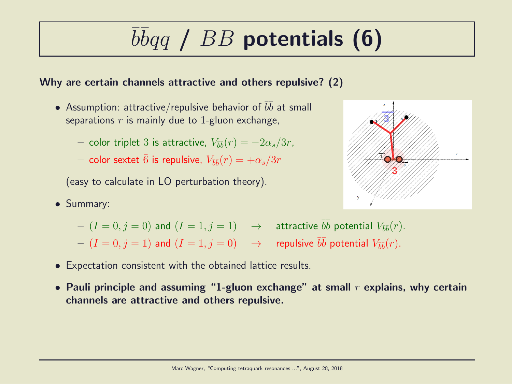# $\overline{b} \overline{b} q \overline{q}$  /  $BB$  potentials (6)

#### Why are certain channels attractive and others repulsive? (2)

- Assumption: attractive/repulsive behavior of  $\bar{b}\bar{b}$  at small separations  $r$  is mainly due to 1-gluon exchange,
	- $-$  color triplet 3 is attractive,  $V_{\bar{b}\bar{b}}(r) = -2\alpha_s/3r$ ,
	- $-$  color sextet  $\bar{6}$  is repulsive,  $V_{\bar{b}\bar{b}}(r)=+\alpha_s/3r$

(easy to calculate in LO perturbation theory).

• Summary:



- $(I = 0, j = 0)$  and  $(I = 1, j = 1)$   $\rightarrow$  attractive  $\overline{bb}$  potential  $V_{\overline{bb}}(r)$ .
- $(I = 0, j = 1)$  and  $(I = 1, j = 0) \longrightarrow$  repulsive  $\bar{b}\bar{b}$  potential  $V_{\bar{b}\bar{b}}(r)$ .
- Expectation consistent with the obtained lattice results.
- Pauli principle and assuming "1-gluon exchange" at small  $r$  explains, why certain channels are attractive and others repulsive.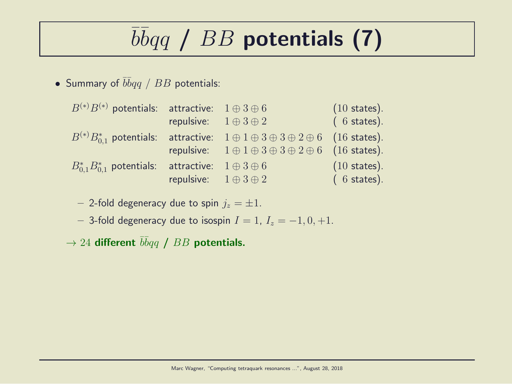# $\overline{b} \overline{b} q \overline{q}$  /  $BB$  potentials (7)

• Summary of  $\bar{b} \bar{b} q q$  /  $BB$  potentials:

| $(6 \text{ states}).$<br>repulsive: $1 \oplus 3 \oplus 2$                                                |
|----------------------------------------------------------------------------------------------------------|
|                                                                                                          |
| $B^{(*)}B_{0.1}^*$ potentials: attractive: $1 \oplus 1 \oplus 3 \oplus 3 \oplus 2 \oplus 6$ (16 states). |
| repulsive: $1 \oplus 1 \oplus 3 \oplus 3 \oplus 2 \oplus 6$ (16 states).                                 |
| $(10 \text{ states}).$<br>$B_{0.1}^* B_{0.1}^*$ potentials: attractive: $1 \oplus 3 \oplus 6$            |
| repulsive: $1 \oplus 3 \oplus 2$<br>$(6 \text{ states}).$                                                |

- 2-fold degeneracy due to spin  $j_z = \pm 1$ .

– 3-fold degeneracy due to isospin  $I = 1$ ,  $I_z = -1, 0, +1$ .

 $\rightarrow$  24 different  $\bar{b}\bar{b}qq$  /  $BB$  potentials.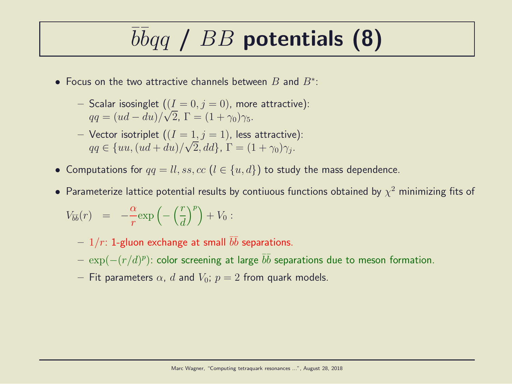## $\overline{b} \overline{b} q \overline{q}$  /  $BB$  potentials (8)

- Focus on the two attractive channels between  $B$  and  $B^*$ :
	- Scalar isosinglet  $((I = 0, j = 0)$ , more attractive):  $qq = (ud - du)/\sqrt{2}$ ,  $\Gamma = (1 + \gamma_0)\gamma_5$ .
	- Vector isotriplet  $((I = 1, j = 1))$ , less attractive):  $qq \in \{uu, (ud+du)/\sqrt{2}, dd\}, \Gamma = (1+\gamma_0)\gamma_j.$
- Computations for  $qq = ll, ss, cc$   $(l \in \{u, d\})$  to study the mass dependence.
- $\bullet$  Parameterize lattice potential results by contiuous functions obtained by  $\chi^2$  minimizing fits of

$$
V_{\bar{b}\bar{b}}(r) = -\frac{\alpha}{r} \exp\left(-\left(\frac{r}{d}\right)^p\right) + V_0:
$$

- $1/r$ : 1-gluon exchange at small  $\bar{b}\bar{b}$  separations.
- $\, \exp(-(r/d)^p)$ : color screening at large  $\bar{b} \bar{b}$  separations due to meson formation.
- Fit parameters  $\alpha$ , d and  $V_0$ ;  $p = 2$  from quark models.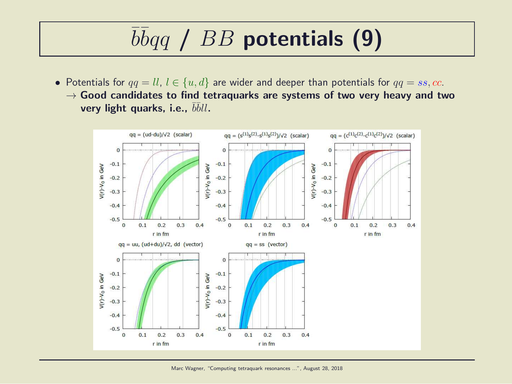## $\overline{b} \overline{b} q \overline{q}$  /  $BB$  potentials (9)

• Potentials for  $qq = ll, l \in \{u, d\}$  are wider and deeper than potentials for  $qq = ss, cc$ .  $\rightarrow$  Good candidates to find tetraquarks are systems of two very heavy and two very light quarks, i.e.,  $\bar{b}\bar{b}ll$ .

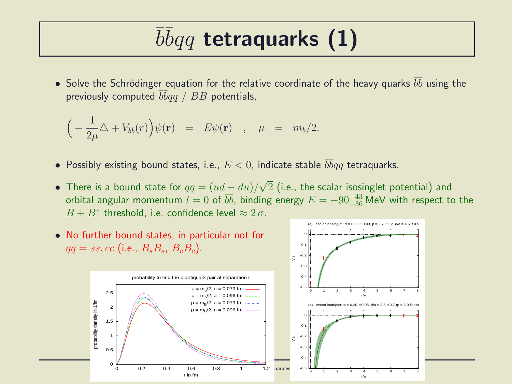## $\overline{b} \overline{b} q q$  tetraquarks (1)

• Solve the Schrödinger equation for the relative coordinate of the heavy quarks  $\bar{b}\bar{b}$  using the previously computed  $\bar b\bar b qq$  /  $BB$  potentials,

$$
\Big(-\frac{1}{2\mu}\triangle + V_{\overline{b}\overline{b}}(r)\Big)\psi(\mathbf{r}) = E\psi(\mathbf{r}) \quad , \quad \mu = m_b/2.
$$

- $\bullet$  Possibly existing bound states, i.e.,  $E < 0$ , indicate stable  $\bar b \bar b q q$  tetraquarks.
- There is a bound state for  $qq = (ud du)/\sqrt{2}$  (i.e., the scalar isosinglet potential) and orbital angular momentum  $l = 0$  of  $b\bar{b}$ , binding energy  $E = -90^{+43}_{-36}$  MeV with respect to the  $B + B^*$  threshold, i.e. confidence level  $\approx 2 \sigma$ .

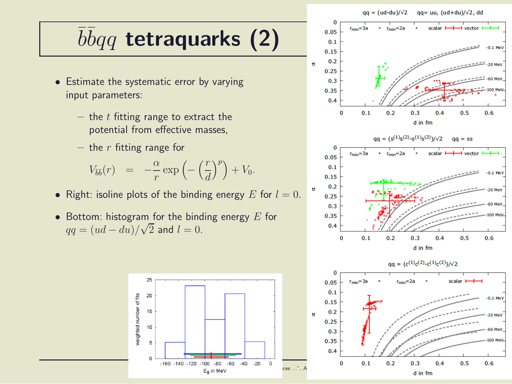#### $qa = (ud-du)/\sqrt{2}$  $qq = uu, (ud+du)/\sqrt{2}$ , dd

## $\overline{b} \overline{b} q q$  tetraquarks (2)

- Estimate the systematic error by varying input parameters:
	- the  $t$  fitting range to extract the potential from effective masses,
	- the  $r$  fitting range for

$$
V_{\overline{b}\overline{b}}(r) = -\frac{\alpha}{r} \exp\left(-\left(\frac{r}{d}\right)^p\right) + V_0.
$$

- Right: isoline plots of the binding energy E for  $l = 0$ .
- Bottom: histogram for the binding energy  $E$  for  $qq = (ud - du)/\sqrt{2}$  and  $l = 0$ .



 $\mathbf{g}$ 



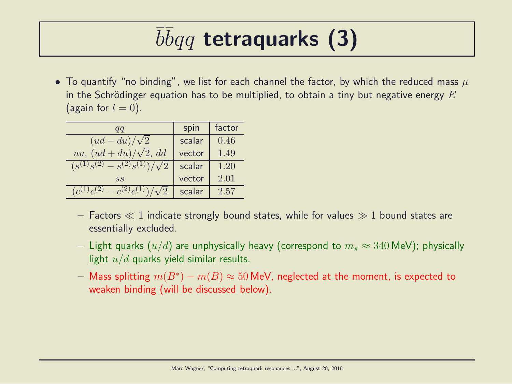## $\overline{b} \overline{b} q q$  tetraquarks (3)

• To quantify "no binding", we list for each channel the factor, by which the reduced mass  $\mu$ in the Schrödinger equation has to be multiplied, to obtain a tiny but negative energy  $E$ (again for  $l = 0$ ).

| qq                                       | spin   | factor |
|------------------------------------------|--------|--------|
| $(ud - du)/\sqrt{2}$                     | scalar | 0.46   |
| uu, $(ud+du)/\sqrt{2}$ , dd              | vector | 1.49   |
| $(s^{(1)}s^{(2)} - s^{(2)}s^{(1)})$      | scalar | 1.20   |
| SS                                       | vector | 2.01   |
| (2)<br>$-c^{(2)}c^{(1)}$<br>$(c^{(1)}c)$ | scalar | 2.57   |

- Factors  $\ll 1$  indicate strongly bound states, while for values  $\gg 1$  bound states are essentially excluded.
- Light quarks  $(u/d)$  are unphysically heavy (correspond to  $m_\pi \approx 340$  MeV); physically light  $u/d$  quarks yield similar results.
- $-$  Mass splitting  $m(B^*) m(B) \approx 50$  MeV, neglected at the moment, is expected to weaken binding (will be discussed below).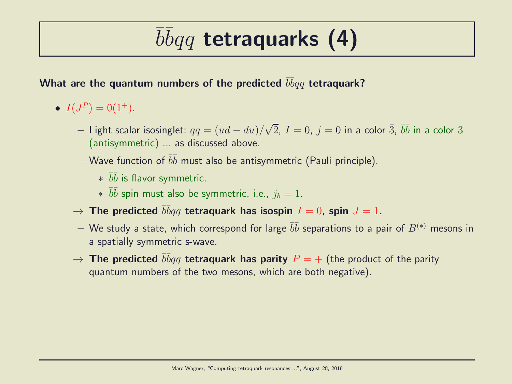## $\overline{b} \overline{b} q q$  tetraquarks (4)

#### What are the quantum numbers of the predicted  $\bar b \bar b q q$  tetraquark?

- $I(J^P) = 0(1^+).$ 
	- $−$  Light scalar isosinglet:  $qq = (ud du)/\sqrt{2}$ ,  $I = 0$ ,  $j = 0$  in a color  $\bar{3}$ ,  $\bar{b}\bar{b}$  in a color  $3$ (antisymmetric) ... as discussed above.
	- $-$  Wave function of  $\bar b \bar b$  must also be antisymmetric (Pauli principle).
		- $*$   $\bar{b}\bar{b}$  is flavor symmetric.
		- $*$   $\bar{b}\bar{b}$  spin must also be symmetric, i.e.,  $j_b = 1$ .
	- $\rightarrow$  The predicted  $\bar{b}\bar{b}qq$  tetraquark has isospin  $I=0$ , spin  $J=1.$
	- $-$  We study a state, which correspond for large  $\bar b \bar b$  separations to a pair of  $B^{(*)}$  mesons in a spatially symmetric s-wave.
	- $\rightarrow$  The predicted  $\bar{b}\bar{b}qq$  tetraquark has parity  $P=+$  (the product of the parity quantum numbers of the two mesons, which are both negative).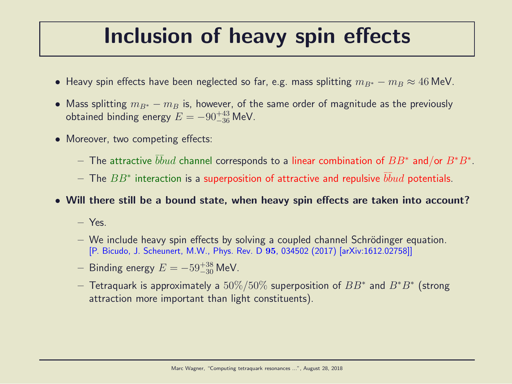#### Inclusion of heavy spin effects

- Heavy spin effects have been neglected so far, e.g. mass splitting  $m_{B*} m_B \approx 46$  MeV.
- Mass splitting  $m_{B^*} m_B$  is, however, of the same order of magnitude as the previously obtained binding energy  $E = -90^{+43}_{-36}$  MeV.
- Moreover, two competing effects:
	- $-$  The attractive  $\bar b\bar b ud$  channel corresponds to a linear combination of  $BB^*$  and/or  $B^*B^*.$
	- $-$  The  $BB^{\ast}$  interaction is a superposition of attractive and repulsive  $\bar{b}\bar{b}ud$  potentials.
- Will there still be a bound state, when heavy spin effects are taken into account?
	- Yes.
	- $-$  We include heavy spin effects by solving a coupled channel Schrödinger equation. [P. Bicudo, J. Scheunert, M.W., Phys. Rev. D 95, 034502 (2017) [arXiv:1612.02758]]
	- $−$  Binding energy  $E = -59^{+38}_{-30}$  MeV.
	- $-$  Tetraquark is approximately a  $50\%/50\%$  superposition of  $BB^*$  and  $B^*B^*$  (strong attraction more important than light constituents).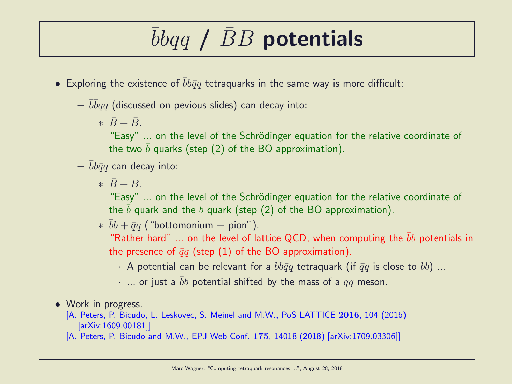### $bb\bar q q$  / BB potentials

- Exploring the existence of  $\bar{b}b\bar{q}q$  tetraquarks in the same way is more difficult:
	- $-\,\,\overline{b}\overline{b} q q$  (discussed on pevious slides) can decay into:
		- $\ast \bar{B}+\bar{B}$ .

"Easy" ... on the level of the Schrödinger equation for the relative coordinate of the two b quarks (step  $(2)$  of the BO approximation).

- $bb\bar{q}q$  can decay into:
	- $\ast \bar{B} + B$

"Easy" ... on the level of the Schrödinger equation for the relative coordinate of the b quark and the b quark (step  $(2)$  of the BO approximation).

 $* \bar{b}b + \bar{q}q$  ("bottomonium + pion").

"Rather hard" ... on the level of lattice QCD, when computing the  $\bar{b}b$  potentials in the presence of  $\bar{q}q$  (step (1) of the BO approximation).

- · A potential can be relevant for a  $\bar{b}b\bar{q}q$  tetraquark (if  $\bar{q}q$  is close to  $\bar{b}b$ ) ...
- $\cdot$  ... or just a bb potential shifted by the mass of a  $\bar{q}q$  meson.
- Work in progress.

[A. Peters, P. Bicudo, L. Leskovec, S. Meinel and M.W., PoS LATTICE 2016, 104 (2016) [arXiv:1609.00181]]

[A. Peters, P. Bicudo and M.W., EPJ Web Conf. 175, 14018 (2018) [arXiv:1709.03306]]